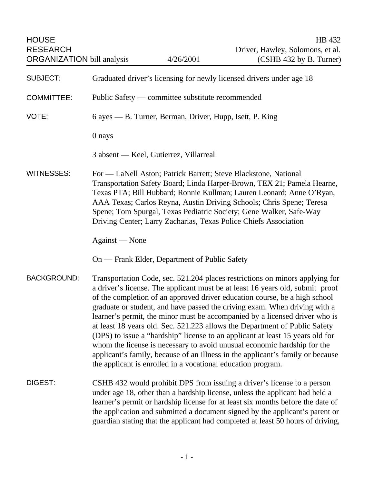| <b>HOUSE</b><br><b>RESEARCH</b><br><b>ORGANIZATION</b> bill analysis | 4/26/2001                                                                                                                                                                                                                                                                                                                                                                                                                                                                                                                                                                                                                                                                                                                                                                                             | HB 432<br>Driver, Hawley, Solomons, et al.<br>(CSHB 432 by B. Turner) |
|----------------------------------------------------------------------|-------------------------------------------------------------------------------------------------------------------------------------------------------------------------------------------------------------------------------------------------------------------------------------------------------------------------------------------------------------------------------------------------------------------------------------------------------------------------------------------------------------------------------------------------------------------------------------------------------------------------------------------------------------------------------------------------------------------------------------------------------------------------------------------------------|-----------------------------------------------------------------------|
| <b>SUBJECT:</b>                                                      | Graduated driver's licensing for newly licensed drivers under age 18                                                                                                                                                                                                                                                                                                                                                                                                                                                                                                                                                                                                                                                                                                                                  |                                                                       |
| <b>COMMITTEE:</b>                                                    | Public Safety — committee substitute recommended                                                                                                                                                                                                                                                                                                                                                                                                                                                                                                                                                                                                                                                                                                                                                      |                                                                       |
| VOTE:                                                                | 6 ayes — B. Turner, Berman, Driver, Hupp, Isett, P. King                                                                                                                                                                                                                                                                                                                                                                                                                                                                                                                                                                                                                                                                                                                                              |                                                                       |
|                                                                      | 0 nays                                                                                                                                                                                                                                                                                                                                                                                                                                                                                                                                                                                                                                                                                                                                                                                                |                                                                       |
|                                                                      | 3 absent — Keel, Gutierrez, Villarreal                                                                                                                                                                                                                                                                                                                                                                                                                                                                                                                                                                                                                                                                                                                                                                |                                                                       |
| <b>WITNESSES:</b>                                                    | For — LaNell Aston; Patrick Barrett; Steve Blackstone, National<br>Transportation Safety Board; Linda Harper-Brown, TEX 21; Pamela Hearne,<br>Texas PTA; Bill Hubbard; Ronnie Kullman; Lauren Leonard; Anne O'Ryan,<br>AAA Texas; Carlos Reyna, Austin Driving Schools; Chris Spene; Teresa<br>Spene; Tom Spurgal, Texas Pediatric Society; Gene Walker, Safe-Way<br>Driving Center; Larry Zacharias, Texas Police Chiefs Association                                                                                                                                                                                                                                                                                                                                                                 |                                                                       |
|                                                                      | Against — None                                                                                                                                                                                                                                                                                                                                                                                                                                                                                                                                                                                                                                                                                                                                                                                        |                                                                       |
|                                                                      | On — Frank Elder, Department of Public Safety                                                                                                                                                                                                                                                                                                                                                                                                                                                                                                                                                                                                                                                                                                                                                         |                                                                       |
| <b>BACKGROUND:</b>                                                   | Transportation Code, sec. 521.204 places restrictions on minors applying for<br>a driver's license. The applicant must be at least 16 years old, submit proof<br>of the completion of an approved driver education course, be a high school<br>graduate or student, and have passed the driving exam. When driving with a<br>learner's permit, the minor must be accompanied by a licensed driver who is<br>at least 18 years old. Sec. 521.223 allows the Department of Public Safety<br>(DPS) to issue a "hardship" license to an applicant at least 15 years old for<br>whom the license is necessary to avoid unusual economic hardship for the<br>applicant's family, because of an illness in the applicant's family or because<br>the applicant is enrolled in a vocational education program. |                                                                       |
| DIGEST:                                                              | CSHB 432 would prohibit DPS from issuing a driver's license to a person<br>under age 18, other than a hardship license, unless the applicant had held a<br>learner's permit or hardship license for at least six months before the date of<br>the application and submitted a document signed by the applicant's parent or<br>guardian stating that the applicant had completed at least 50 hours of driving,                                                                                                                                                                                                                                                                                                                                                                                         |                                                                       |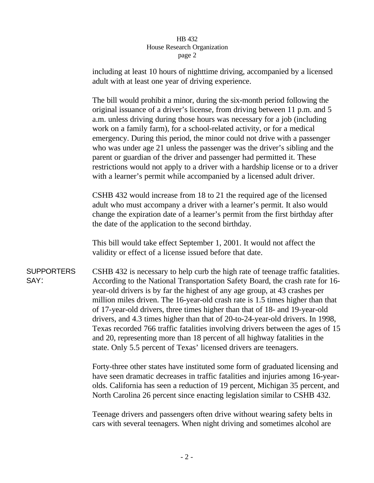## HB 432 House Research Organization page 2

including at least 10 hours of nighttime driving, accompanied by a licensed adult with at least one year of driving experience.

The bill would prohibit a minor, during the six-month period following the original issuance of a driver's license, from driving between 11 p.m. and 5 a.m. unless driving during those hours was necessary for a job (including work on a family farm), for a school-related activity, or for a medical emergency. During this period, the minor could not drive with a passenger who was under age 21 unless the passenger was the driver's sibling and the parent or guardian of the driver and passenger had permitted it. These restrictions would not apply to a driver with a hardship license or to a driver with a learner's permit while accompanied by a licensed adult driver.

CSHB 432 would increase from 18 to 21 the required age of the licensed adult who must accompany a driver with a learner's permit. It also would change the expiration date of a learner's permit from the first birthday after the date of the application to the second birthday.

This bill would take effect September 1, 2001. It would not affect the validity or effect of a license issued before that date.

**SUPPORTERS** SAY: CSHB 432 is necessary to help curb the high rate of teenage traffic fatalities. According to the National Transportation Safety Board, the crash rate for 16 year-old drivers is by far the highest of any age group, at 43 crashes per million miles driven. The 16-year-old crash rate is 1.5 times higher than that of 17-year-old drivers, three times higher than that of 18- and 19-year-old drivers, and 4.3 times higher than that of 20-to-24-year-old drivers. In 1998, Texas recorded 766 traffic fatalities involving drivers between the ages of 15 and 20, representing more than 18 percent of all highway fatalities in the state. Only 5.5 percent of Texas' licensed drivers are teenagers.

> Forty-three other states have instituted some form of graduated licensing and have seen dramatic decreases in traffic fatalities and injuries among 16-yearolds. California has seen a reduction of 19 percent, Michigan 35 percent, and North Carolina 26 percent since enacting legislation similar to CSHB 432.

Teenage drivers and passengers often drive without wearing safety belts in cars with several teenagers. When night driving and sometimes alcohol are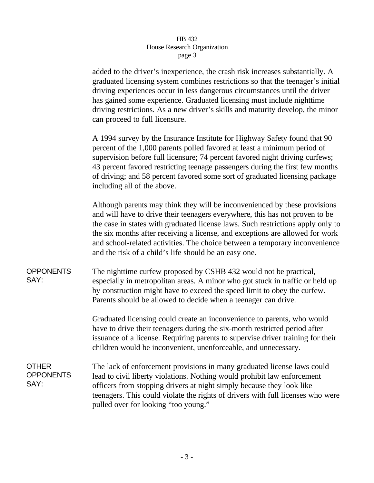## HB 432 House Research Organization page 3

added to the driver's inexperience, the crash risk increases substantially. A graduated licensing system combines restrictions so that the teenager's initial driving experiences occur in less dangerous circumstances until the driver has gained some experience. Graduated licensing must include nighttime driving restrictions. As a new driver's skills and maturity develop, the minor can proceed to full licensure.

A 1994 survey by the Insurance Institute for Highway Safety found that 90 percent of the 1,000 parents polled favored at least a minimum period of supervision before full licensure; 74 percent favored night driving curfews; 43 percent favored restricting teenage passengers during the first few months of driving; and 58 percent favored some sort of graduated licensing package including all of the above.

Although parents may think they will be inconvenienced by these provisions and will have to drive their teenagers everywhere, this has not proven to be the case in states with graduated license laws. Such restrictions apply only to the six months after receiving a license, and exceptions are allowed for work and school-related activities. The choice between a temporary inconvenience and the risk of a child's life should be an easy one.

**OPPONENTS** SAY: The nighttime curfew proposed by CSHB 432 would not be practical, especially in metropolitan areas. A minor who got stuck in traffic or held up by construction might have to exceed the speed limit to obey the curfew. Parents should be allowed to decide when a teenager can drive.

> Graduated licensing could create an inconvenience to parents, who would have to drive their teenagers during the six-month restricted period after issuance of a license. Requiring parents to supervise driver training for their children would be inconvenient, unenforceable, and unnecessary.

**OTHER OPPONENTS** SAY: The lack of enforcement provisions in many graduated license laws could lead to civil liberty violations. Nothing would prohibit law enforcement officers from stopping drivers at night simply because they look like teenagers. This could violate the rights of drivers with full licenses who were pulled over for looking "too young."